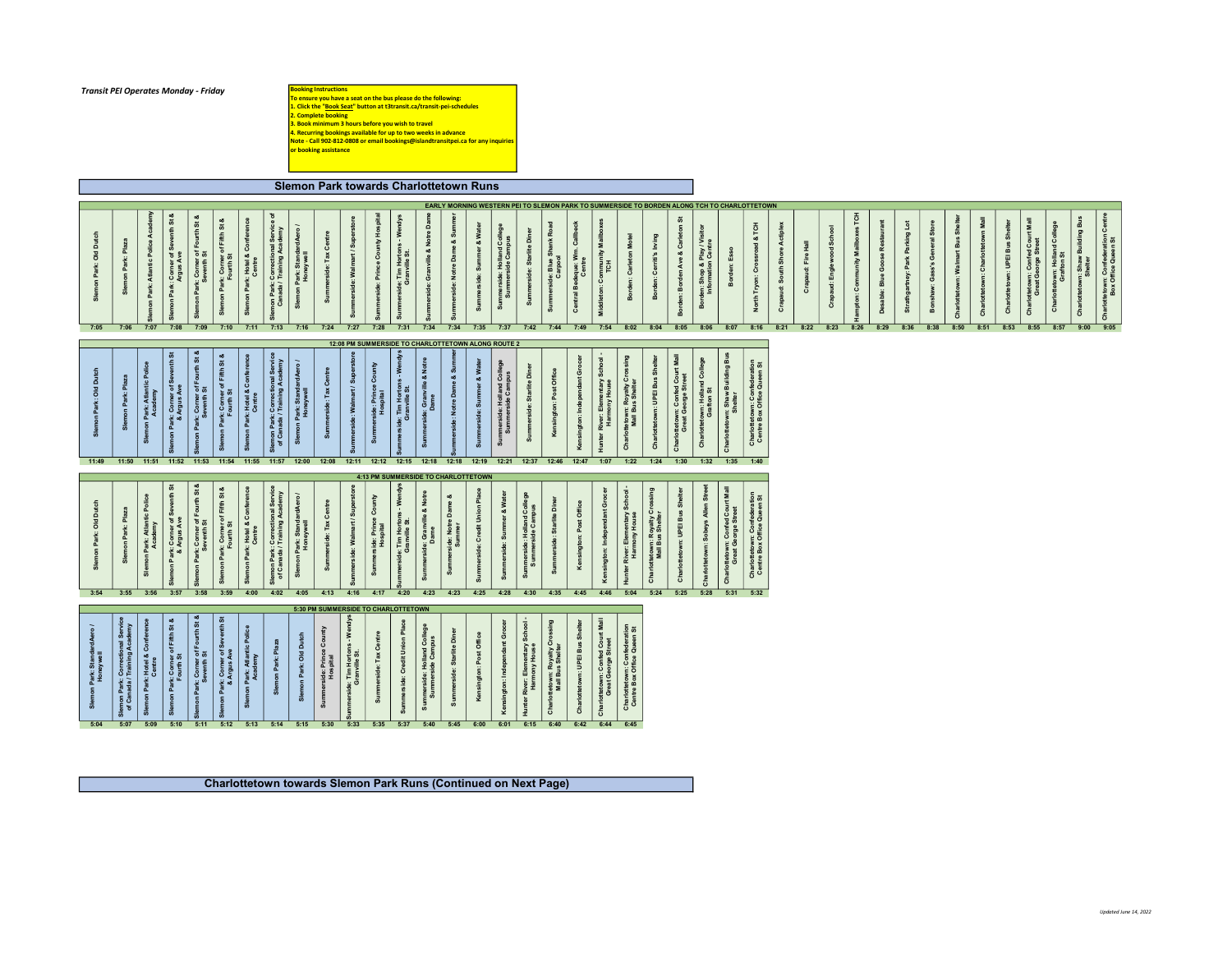## Transit PEI Operates Monday - Friday

**Booking Instructions<br>To ensure you have a seat on the bus please do the following:<br>1. Click the "<u>Book Seat</u>" button at 13transit.ca/transit-pel-schedules<br>2. Complete booking<br>3. Book minimum 3 hours before you wish to tra** 

Slemon Park towards Charlottetown Runs

|                                            |                                                                         |                        |                                       |                                                        |                                                      |                                                |                                                |                                                                   |                                       |                                      |                                                |                                     |                                                 |                                                                      |                                 |                                      |                                              |                                                          |                                                             |                                     |                                                                   |                                                                  |                                                     |                                                      |                                                     | EARLY MORNING WESTERN PEI TO SLEMON PARK TO SUMMERSIDE TO BORDEN ALONG TCH TO CHARLOTTETOWN |                                                                    |                             |                    |                           |                                      |                           |                                        |                             |                        |                                   |                              |                                                             |                                        |                               |                                                   |
|--------------------------------------------|-------------------------------------------------------------------------|------------------------|---------------------------------------|--------------------------------------------------------|------------------------------------------------------|------------------------------------------------|------------------------------------------------|-------------------------------------------------------------------|---------------------------------------|--------------------------------------|------------------------------------------------|-------------------------------------|-------------------------------------------------|----------------------------------------------------------------------|---------------------------------|--------------------------------------|----------------------------------------------|----------------------------------------------------------|-------------------------------------------------------------|-------------------------------------|-------------------------------------------------------------------|------------------------------------------------------------------|-----------------------------------------------------|------------------------------------------------------|-----------------------------------------------------|---------------------------------------------------------------------------------------------|--------------------------------------------------------------------|-----------------------------|--------------------|---------------------------|--------------------------------------|---------------------------|----------------------------------------|-----------------------------|------------------------|-----------------------------------|------------------------------|-------------------------------------------------------------|----------------------------------------|-------------------------------|---------------------------------------------------|
| ă<br>$\overline{\mathsf{o}}$               | ΞË<br>Slemon Park:                                                      | on Park: Atlantic Poli |                                       | enth St<br>mon Park: Corner of Sev<br>Argus Ave        | on Park: Corner of Fourth St &<br>Seventh St         | Slemon Park: Corner of Fifth St &<br>Fourth St | Slemon Park: Hotel & Confere<br>Centre         | non Park: Correctional Service<br>Canada / Training Academy       | on Park: StandardAero<br>Honeywell    | Summerside: Tax Centre               | merside: Walmart / Supers                      | side: Prince County Hosp            | is - Wen<br>rside: Tim Hortons<br>Granville St. | side: Granville & Notre Da                                           | 16 % or<br>side: Notre Da       | or & Wa<br>ide: Sur                  | Summerside: Holland Col<br>Summerside Campus | ite Di<br>rside: Starl<br>ಕ                              | œ<br>nerside: Blue Shank<br>Carpool                         | Central Bedeque: Wm. Call<br>Centre | ddleton: Community Mail<br>TCH                                    | ton Motel<br>rden: Carlet<br>å                                   | Borden: Cerriti's Irving                            | Borden: Borden Ave & Car                             | rden: Shop & Play / Vis<br>Information Centre<br>និ | Borden: Esso                                                                                | & TCH<br>North Tryon: Crossroad                                    | Crapaud: South Shore Actipl | Crapaud: Fire Hall | Crapaud: Englewood School | <b>HOL</b> SE<br>npton: Community Ma | Desable: Blue Goose Resta | <b>Strathgartney: Park Parking Lot</b> | Bonshaw: Gass's General Sto | tetown: Walmart Bus Sh | Charlottetown: Charlottetown Mall | rlottetown: UPEI Bus Sh<br>흥 | rt Mall<br>Charlottetown: Confed Cou<br>Great George Street | tetown: Holland Coi<br>Grafton St<br>Ğ | ᆱ<br>ã<br>vn: Shaw<br>Shelter | tetown: Confederation<br>Box Office Queen St<br>ő |
| 7:05                                       | 7:06                                                                    |                        | 7:07                                  | 7:08                                                   | 7:09                                                 | 7:10                                           | 7:11                                           | 7:13                                                              | 7:16                                  | 7:24                                 | 7:27                                           | 7:28                                | 7:31                                            | 7:34                                                                 | 7:34                            | 7:35                                 | 7:37                                         | 7:42                                                     | 7:44                                                        | 7:49                                | 7:54                                                              | 8:02                                                             | 8:04                                                | 8:05                                                 | 8:06                                                | 8:07                                                                                        | 8:16                                                               | 8:21                        | 8:22               | 8:23                      | 8:26                                 | 8:29                      | 8:36                                   | 8:38                        | 8:50                   | 8:51                              | 8:53                         | 8:55                                                        | 8:57                                   | 9:00                          | 9:05                                              |
|                                            |                                                                         |                        |                                       |                                                        |                                                      |                                                |                                                |                                                                   |                                       |                                      |                                                |                                     |                                                 | 12:08 PM SUMMERSIDE TO CHARLOTTETOWN ALONG ROUTE 2                   |                                 |                                      |                                              |                                                          |                                                             |                                     |                                                                   |                                                                  |                                                     |                                                      |                                                     |                                                                                             |                                                                    |                             |                    |                           |                                      |                           |                                        |                             |                        |                                   |                              |                                                             |                                        |                               |                                                   |
| Old Dutch                                  | non Park:<br>္တ                                                         |                        | non Park: Atlant<br>Academy           | ŏ<br>nn Park: Corner of Seventh<br>& Argus Ave         | on Park: Corner of Fourth St<br>Seventh St           | mon Park: Corner of Fifth St &<br>Fourth St    | mon Park: Hotel & Confe<br>Centre              | Slemon Park: Correctional Service<br>of Canada / Training Academy | on Park: StandardAero<br>Honeywell    | erside: Tax Centre<br>Summ           | side: Walm                                     | rside: Prince Cou<br>Hospital       | ərside: Tim Horton<br>Granville St.             | & Not<br>le: Gra                                                     | & Su<br>side: Notre Da          | & Wa<br>ೲ                            | nmerside: Holland Col<br>Summerside Campus   | side: Starlite Di<br>$rac{5}{3}$                         | Kensington: Post Offi                                       | gton: Independant Gro               | Hunter River: Elementary School-<br>Harmony House                 | Charlottetown: Royalty C<br>Mall Bus Shelter                     | fottetown: UPEI Bus Shelte<br>ô                     | rlottetown: Confed Court Mall<br>Great George Street | lottetown: Holland Co<br>Grafton St<br>흉            | ng Bus<br><b>1ottetown: Shaw Buil</b><br>Shelter<br>cha                                     | <b>Charlottetown: Confederation<br/>Centre Box Office Queen St</b> |                             |                    |                           |                                      |                           |                                        |                             |                        |                                   |                              |                                                             |                                        |                               |                                                   |
| 11:49                                      | 11:50                                                                   | 11:51                  |                                       | 11:52                                                  | 11:53                                                | 11:54                                          | 11:55                                          | 11:57                                                             | 12:00                                 | 12:08                                |                                                | 12:11 12:12                         | 12:15                                           | 12:18                                                                | 12:18                           | 12:19                                | 12:21                                        | 12:37 12:46                                              |                                                             | 12:47                               | 1:07                                                              | 1:22                                                             | 1:24                                                | 1:30                                                 | 1:32                                                | 1:35                                                                                        | 1:40                                                               |                             |                    |                           |                                      |                           |                                        |                             |                        |                                   |                              |                                                             |                                        |                               |                                                   |
|                                            |                                                                         |                        |                                       |                                                        |                                                      |                                                |                                                |                                                                   |                                       |                                      |                                                |                                     |                                                 | 4:13 PM SUMMERSIDE TO CHARLOTTETOWN                                  |                                 |                                      |                                              |                                                          |                                                             |                                     |                                                                   |                                                                  |                                                     |                                                      |                                                     |                                                                                             |                                                                    |                             |                    |                           |                                      |                           |                                        |                             |                        |                                   |                              |                                                             |                                        |                               |                                                   |
|                                            |                                                                         |                        |                                       |                                                        |                                                      |                                                |                                                |                                                                   | ardAero                               |                                      |                                                |                                     |                                                 |                                                                      | oð                              |                                      | er & Water                                   | nd College<br>ampus                                      |                                                             |                                     |                                                                   |                                                                  |                                                     |                                                      |                                                     |                                                                                             |                                                                    |                             |                    |                           |                                      |                           |                                        |                             |                        |                                   |                              |                                                             |                                        |                               |                                                   |
| ᆱ<br><sub>3</sub>                          | 흢<br>Slemon Park:                                                       |                        | on Park: Atlant<br>Academy            | mon Park: Corner of Seve<br>& Argus Ave<br>Sle         | mon Park: Corner of Fourth St &<br>Seventh St        | Slemon Park: Corner of Fifth St &<br>Fourth St | mon Park: Hotel & Confere<br>Centre<br>္တီ     | Slemon Park: Correctional Servic<br>of Canada / Training Academy  | amon Park: Standa<br>Honeywell<br>္တီ | erside: Tax Centre<br>ທ້             | 'side: Walmart / Sup                           | Summerside: Prince Co<br>Hospital   | side: Tim Hortons - We<br>Granville St.         | side: Granville & Notre<br>Dame<br>នី                                | side: Notre Dame                | de: Credit Un                        | arside: Sumn<br>Sum                          | ide: Holland<br>nerside Car<br>e 5<br>Sur<br>ທ່          | side: Starlite Diner<br>Summe                               | gton: Post Office                   | Kensington: Independant Gro                                       | Elementary School<br>nony House<br>Hunter River: Elem<br>Harmony | rlottetown: Royalty Cross<br>Mall Bus Shelter<br>c. | Charlottetown: UPEI Bus Sh                           | Charlottetown: Sobeys Allen Str                     | rlottetown: Confed Court Mal<br>Great George Street<br>흉                                    | Charlottetown: Confederation<br>Centre Box Office Queen St         |                             |                    |                           |                                      |                           |                                        |                             |                        |                                   |                              |                                                             |                                        |                               |                                                   |
| 3:54                                       | 3:55                                                                    | 3:56                   |                                       | 3:57                                                   | 3:58                                                 | 3:59                                           | 4:00                                           | 4:02                                                              | 4:05                                  | 4:13                                 | 4:16                                           | 4:17                                | 4:20                                            | 4:23                                                                 | 4:23                            | 4:25                                 | 4:28                                         | 4:30                                                     | 4:35                                                        | 4:45                                | 4:46                                                              | 5:04                                                             | 5:24                                                | 5:25                                                 | 5:28                                                | 5:31                                                                                        | 5:32                                                               |                             |                    |                           |                                      |                           |                                        |                             |                        |                                   |                              |                                                             |                                        |                               |                                                   |
|                                            |                                                                         |                        |                                       |                                                        |                                                      |                                                |                                                |                                                                   |                                       |                                      |                                                | 5:30 PM SUMMERSIDE TO CHARLOTTETOWN |                                                 |                                                                      |                                 |                                      |                                              |                                                          |                                                             |                                     |                                                                   |                                                                  |                                                     |                                                      |                                                     |                                                                                             |                                                                    |                             |                    |                           |                                      |                           |                                        |                             |                        |                                   |                              |                                                             |                                        |                               |                                                   |
| on Park: Standa<br>Honeywell<br>៵៓<br>5:04 | Slemon Park: Correctional Servi<br>of Canada / Training Academy<br>5:07 |                        | on Park: Hotel & Co<br>Centre<br>5:09 | St &<br>mon Park: Corner of Fifth<br>Fourth St<br>5:10 | on Park: Corner of Fourth St &<br>Seventh St<br>5:11 | on Park: Corner of Sev<br>& Argus Ave<br>5:12  | tic Pol<br>ion Park: Atlant<br>Academy<br>5:13 | ton Park: Pl<br>ឹ<br>5:14                                         | n Park: Old Du<br>Slem<br>5:15        | side: Prince Cou<br>Hospital<br>5:30 | ide: Tim Hortons - We<br>Granville St.<br>5:33 | de: Tax Centre<br>5:35              | Summerside: Credit Union Plac<br>5:37           | erside: Holland College<br>immerside Campus<br>Summer<br>Sun<br>5:40 | ide: Stariite Dir<br>ౚఀ<br>5:45 | ington: Post Office<br>Kensi<br>6:00 | sington: Independant Gro<br>Ker<br>6:01      | Hunter River: Elementary School<br>Harmony House<br>6:15 | Charlottetown: Royalty Crossing<br>Mall Bus Shelter<br>6:40 | ttetown: UPEI Bus Sh<br>6:42        | rlottetown: Confed Court Mall<br>Great George Street<br>š<br>6:44 | Charlottetown: Confederation<br>Centre Box Office Queen St       |                                                     |                                                      |                                                     |                                                                                             |                                                                    |                             |                    |                           |                                      |                           |                                        |                             |                        |                                   |                              |                                                             |                                        |                               |                                                   |

Charlottetown towards Slemon Park Runs (Continued on Next Page)

Updated June 14, 2022